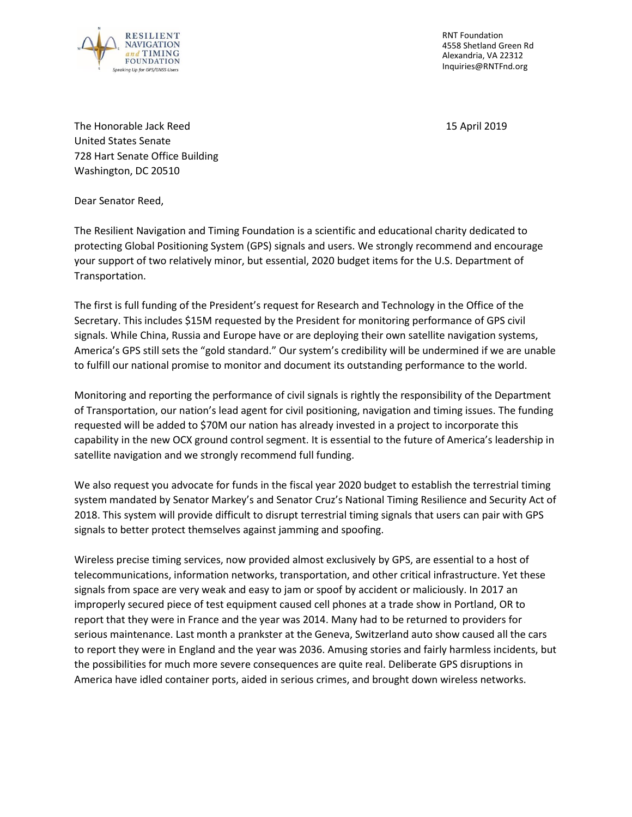

RNT Foundation 4558 Shetland Green Rd Alexandria, VA 22312 Inquiries@RNTFnd.org

The Honorable Jack Reed 15 April 2019 United States Senate 728 Hart Senate Office Building Washington, DC 20510

Dear Senator Reed,

The Resilient Navigation and Timing Foundation is a scientific and educational charity dedicated to protecting Global Positioning System (GPS) signals and users. We strongly recommend and encourage your support of two relatively minor, but essential, 2020 budget items for the U.S. Department of Transportation.

The first is full funding of the President's request for Research and Technology in the Office of the Secretary. This includes \$15M requested by the President for monitoring performance of GPS civil signals. While China, Russia and Europe have or are deploying their own satellite navigation systems, America's GPS still sets the "gold standard." Our system's credibility will be undermined if we are unable to fulfill our national promise to monitor and document its outstanding performance to the world.

Monitoring and reporting the performance of civil signals is rightly the responsibility of the Department of Transportation, our nation's lead agent for civil positioning, navigation and timing issues. The funding requested will be added to \$70M our nation has already invested in a project to incorporate this capability in the new OCX ground control segment. It is essential to the future of America's leadership in satellite navigation and we strongly recommend full funding.

We also request you advocate for funds in the fiscal year 2020 budget to establish the terrestrial timing system mandated by Senator Markey's and Senator Cruz's National Timing Resilience and Security Act of 2018. This system will provide difficult to disrupt terrestrial timing signals that users can pair with GPS signals to better protect themselves against jamming and spoofing.

Wireless precise timing services, now provided almost exclusively by GPS, are essential to a host of telecommunications, information networks, transportation, and other critical infrastructure. Yet these signals from space are very weak and easy to jam or spoof by accident or maliciously. In 2017 an improperly secured piece of test equipment caused cell phones at a trade show in Portland, OR to report that they were in France and the year was 2014. Many had to be returned to providers for serious maintenance. Last month a prankster at the Geneva, Switzerland auto show caused all the cars to report they were in England and the year was 2036. Amusing stories and fairly harmless incidents, but the possibilities for much more severe consequences are quite real. Deliberate GPS disruptions in America have idled container ports, aided in serious crimes, and brought down wireless networks.